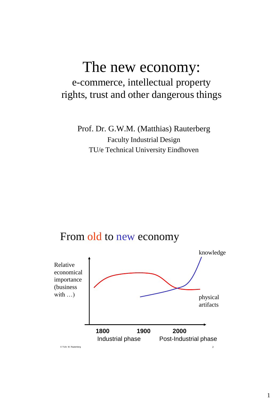# The new economy: e-commerce, intellectual property rights, trust and other dangerous things

Prof. Dr. G.W.M. (Matthias) Rauterberg Faculty Industrial Design TU/e Technical University Eindhoven

### From old to new economy

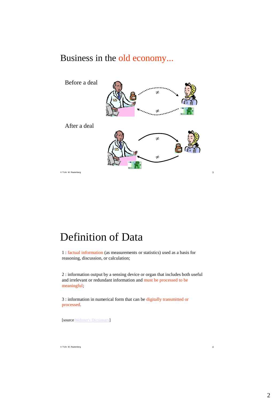### Business in the old economy...



# Definition of Data

1 : factual information (as measurements or statistics) used as a basis for reasoning, discussion, or calculation;

2 : information output by a sensing device or organ that includes both useful and irrelevant or redundant information and must be processed to be meaningful;

3 : information in numerical form that can be digitally transmitted or processed.

[source [Webster's Dictionary](http://www.m-w.com/dictionary.htm)]

© TU/e M. Rauterberg 4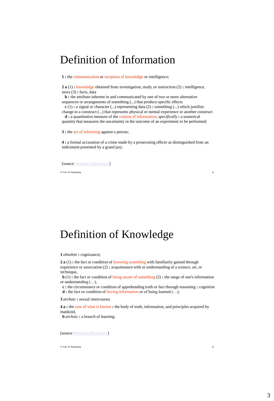## Definition of Information

**1 :** the communication or reception of knowledge or intelligence;

**2 a** (1) **:** knowledge obtained from investigation, study, or instruction (2) **:** intelligence, news (3) **:** facts, data

**b** : the attribute inherent in and communicated by one of two or more alternative sequences or arrangements of something (...) that produce specific effects

**c** (1) **:** a signal or character (...) representing data (2) **:** something (...) which justifies change in a construct (...) that represents physical or mental experience or another construct

**d :** a quantitative measure of the content of information; *specifically* **:** a numerical quantity that measures the uncertainty in the outcome of an experiment to be performed;

**3 :** the act of informing against a person;

**4 :** a formal accusation of a crime made by a prosecuting officer as distinguished from an indictment presented by a grand jury.

[source [Webster's Dictionary](http://www.m-w.com/dictionary.htm)]

© TU/e M. Rauterberg 5

## Definition of Knowledge

**1** *obsolete* **:** cognizance**;**

**2 a** (1) **:** the fact or condition of knowing something with familiarity gained through experience or association (2) **:** acquaintance with or understanding of a science, art, or technique,

**b** (1) **:** the fact or condition of being aware of something (2) **:** the range of one's information or understanding (…),

**c :** the circumstance or condition of apprehending truth or fact through reasoning **:** cognition **d :** the fact or condition of having information or of being learned (…);

**3** *archaic* **:** sexual intercourse**;**

**4 a :** the sum of what is known **:** the body of truth, information, and principles acquired by mankind,

**b** *archaic* **:** a branch of learning.

[source [Webster's Dictionary](http://www.m-w.com/dictionary.htm)]

© TU/e M. Rauterberg 6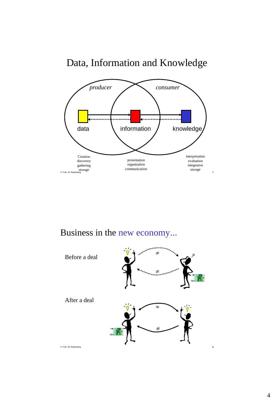



Business in the new economy...

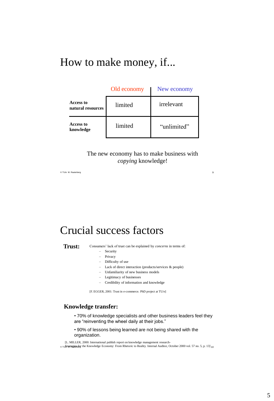## How to make money, if...

|                                | Old economy | New economy |
|--------------------------------|-------------|-------------|
| Access to<br>natural resources | limited     | irrelevant  |
| Access to<br>knowledge         | limited     | "unlimited" |

### The new economy has to make business with *copying* knowledge!

© TU/e M. Rauterberg 9

## Crucial success factors

**Trust:** Consumers' lack of trust can be explained by *concerns* in terms of:

- Security
- Privacy
- Difficulty of use
- Lack of direct interaction (products/services & people)
- Unfamiliarity of new business models
- Legitimacy of businesses
- Credibility of information and knowledge

[F. EGGER, 2001: Trust in e-commerce. PhD project at TU/e]

#### **Knowledge transfer:**

- 70% of knowledge specialists and other business leaders feel they are "reinventing the wheel daily at their jobs."
- 90% of lessons being learned are not being shared with the organization.

[L. MILLER, 2000: International publish report on knowledge management research-

<sub>© TU</sub>\$trategies for the Knowledge Economy: From Rhetoric to Reality. Internal Auditor, October 2000 vol. 57 no. 5, p. 13] <sub>10</sub>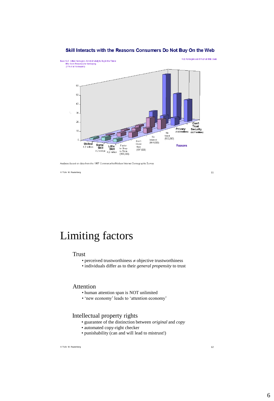

#### Skill Interacts with the Reasons Consumers Do Not Buy On the Web

Analyses based on data from the 1997 CommerceNet/Nielsen Internet Demographic Survey

© TU/e M. Rauterberg 11

Limiting factors

#### Trust

- perceived trustworthiness  $\neq$  objective trustworthiness
- individuals differ as to their *general propensity* to trust

### Attention

- human attention span is NOT unlimited
- "new economy" leads to "attention economy"

#### Intellectual property rights

- guarantee of the distinction between *original* and *copy*
- automated copy-right checker
- punishability (can and will lead to mistrust!)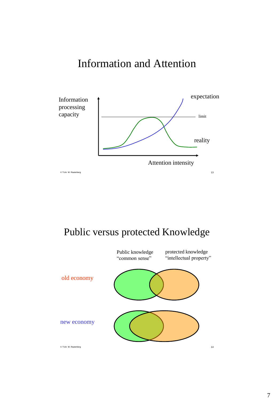# Information and Attention



Public versus protected Knowledge